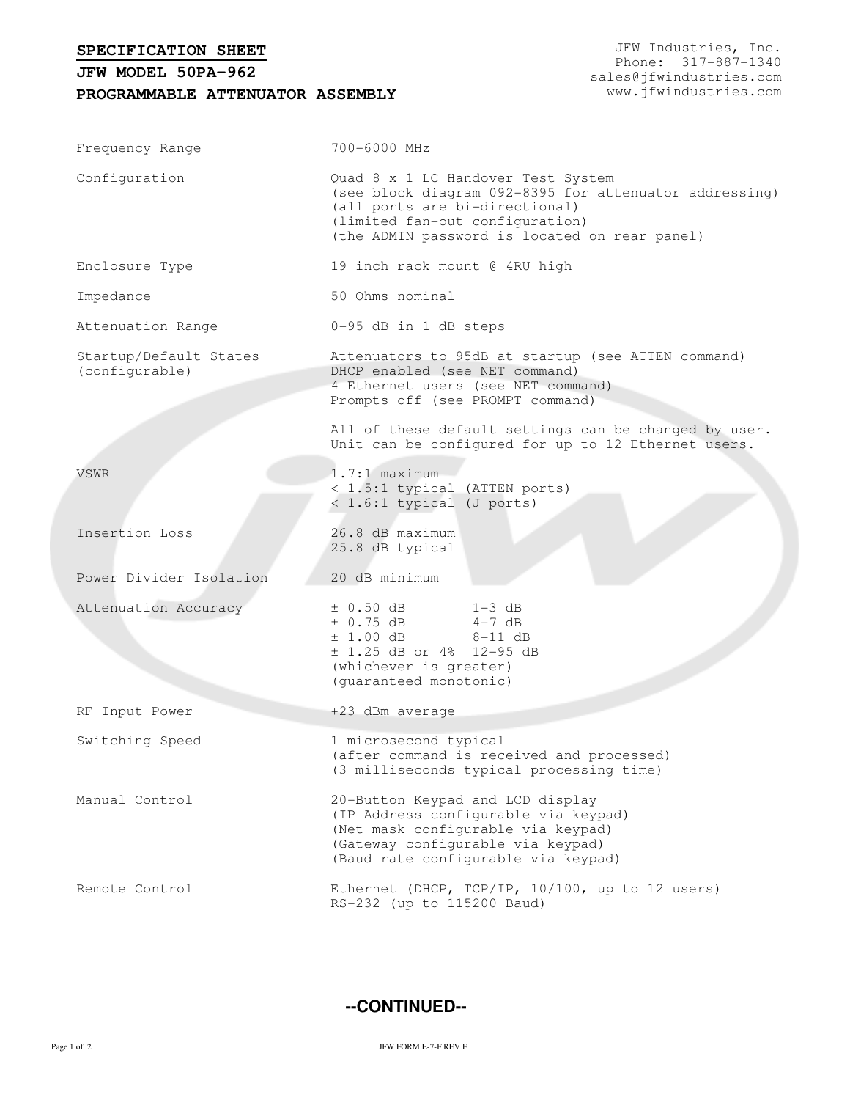## **SPECIFICATION SHEET**

## **PROGRAMMABLE ATTENUATOR ASSEMBLY JFW MODEL 50PA-962**

JFW Industries, Inc. Phone: 317-887-1340 sales@jfwindustries.com www.jfwindustries.com

| Frequency Range                          | 700-6000 MHz                                                                                                                                                                                                            |  |  |
|------------------------------------------|-------------------------------------------------------------------------------------------------------------------------------------------------------------------------------------------------------------------------|--|--|
| Configuration                            | Quad 8 x 1 LC Handover Test System<br>(see block diagram 092-8395 for attenuator addressing)<br>(all ports are bi-directional)<br>(limited fan-out configuration)<br>(the ADMIN password is located on rear panel)      |  |  |
| Enclosure Type                           | 19 inch rack mount @ 4RU high                                                                                                                                                                                           |  |  |
| Impedance                                | 50 Ohms nominal                                                                                                                                                                                                         |  |  |
| Attenuation Range                        | 0-95 dB in 1 dB steps                                                                                                                                                                                                   |  |  |
| Startup/Default States<br>(configurable) | Attenuators to 95dB at startup (see ATTEN command)<br>DHCP enabled (see NET command)<br>4 Ethernet users (see NET command)<br>Prompts off (see PROMPT command)<br>All of these default settings can be changed by user. |  |  |
|                                          | Unit can be configured for up to 12 Ethernet users.                                                                                                                                                                     |  |  |
| VSWR                                     | $1.7:1$ maximum<br>< 1.5:1 typical (ATTEN ports)<br>< 1.6:1 typical (J ports)                                                                                                                                           |  |  |
| Insertion Loss                           | 26.8 dB maximum<br>25.8 dB typical                                                                                                                                                                                      |  |  |
| Power Divider Isolation                  | 20 dB minimum                                                                                                                                                                                                           |  |  |
| Attenuation Accuracy                     | $\pm$ 0.50 dB<br>$1-3$ dB<br>± 0.75 dB<br>$4-7$ dB<br>$\pm$ 1.00 dB 8-11 dB<br>$\pm$ 1.25 dB or 4% 12-95 dB<br>(whichever is greater)<br>(guaranteed monotonic)                                                         |  |  |
| RF Input Power                           | +23 dBm average                                                                                                                                                                                                         |  |  |
| Switching Speed                          | 1 microsecond typical<br>(after command is received and processed)<br>(3 milliseconds typical processing time)                                                                                                          |  |  |
| Manual Control                           | 20-Button Keypad and LCD display<br>(IP Address configurable via keypad)<br>(Net mask configurable via keypad)<br>(Gateway configurable via keypad)<br>(Baud rate configurable via keypad)                              |  |  |
| Remote Control                           | Ethernet (DHCP, TCP/IP, 10/100, up to 12 users)<br>RS-232 (up to 115200 Baud)                                                                                                                                           |  |  |

**--CONTINUED--**